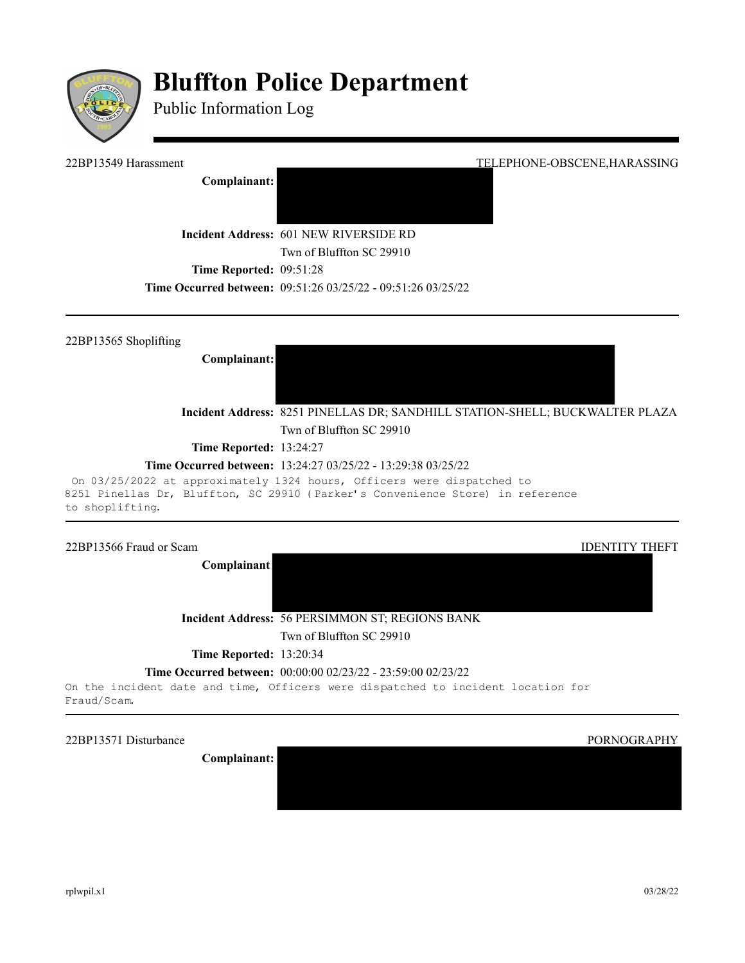

# **Bluffton Police Department**

Public Information Log

**Complainant:** 

22BP13549 Harassment TELEPHONE-OBSCENE,HARASSING

**Incident Address:** 601 NEW RIVERSIDE RD

Twn of Bluffton SC 29910

**Time Reported: 09:51:28** 

**Time Occurred between:** 09:51:26 03/25/22 - 09:51:26 03/25/22

22BP13565 Shoplifting

**Complainant:**

**Incident Address:** 8251 PINELLAS DR; SANDHILL STATION-SHELL; BUCKWALTER PLAZA Twn of Bluffton SC 29910

**Time Reported:** 13:24:27

# **Time Occurred between:** 13:24:27 03/25/22 - 13:29:38 03/25/22

On 03/25/2022 at approximately 1324 hours, Officers were dispatched to 8251 Pinellas Dr, Bluffton, SC 29910 (Parker's Convenience Store) in reference to shoplifting.

#### 22BP13566 Fraud or Scam and the state of the state of the state of the state of the IDENTITY THEFT

**Complainant**

**Incident Address:** 56 PERSIMMON ST; REGIONS BANK

Twn of Bluffton SC 29910

**Time Reported:** 13:20:34

**Time Occurred between:** 00:00:00 02/23/22 - 23:59:00 02/23/22

On the incident date and time, Officers were dispatched to incident location for Fraud/Scam.

22BP13571 Disturbance PORNOGRAPHY

**Complainant:**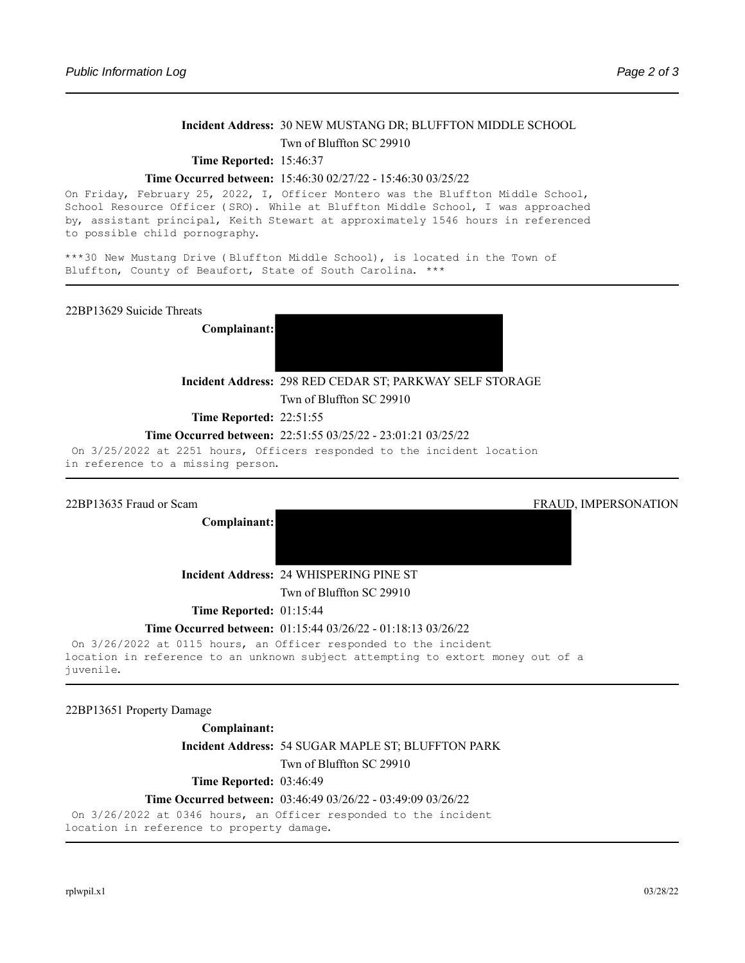# **Incident Address:** 30 NEW MUSTANG DR; BLUFFTON MIDDLE SCHOOL Twn of Bluffton SC 29910

#### **Time Reported:** 15:46:37

#### **Time Occurred between:** 15:46:30 02/27/22 - 15:46:30 03/25/22

On Friday, February 25, 2022, I, Officer Montero was the Bluffton Middle School, School Resource Officer (SRO). While at Bluffton Middle School, I was approached by, assistant principal, Keith Stewart at approximately 1546 hours in referenced to possible child pornography.

\*\*\*30 New Mustang Drive (Bluffton Middle School), is located in the Town of Bluffton, County of Beaufort, State of South Carolina. \*\*\*

22BP13629 Suicide Threats

**Complainant:**



**Incident Address:** 298 RED CEDAR ST; PARKWAY SELF STORAGE

Twn of Bluffton SC 29910

**Time Reported: 22:51:55** 

#### **Time Occurred between:** 22:51:55 03/25/22 - 23:01:21 03/25/22

On 3/25/2022 at 2251 hours, Officers responded to the incident location in reference to a missing person.

22BP13635 Fraud or Scam FRAUD, IMPERSONATION

**Complainant:**

**Incident Address:** 24 WHISPERING PINE ST

Twn of Bluffton SC 29910

**Time Reported: 01:15:44** 

#### **Time Occurred between:** 01:15:44 03/26/22 - 01:18:13 03/26/22

On 3/26/2022 at 0115 hours, an Officer responded to the incident location in reference to an unknown subject attempting to extort money out of a juvenile.

22BP13651 Property Damage

**Complainant:** 

**Incident Address:** 54 SUGAR MAPLE ST; BLUFFTON PARK

Twn of Bluffton SC 29910

**Time Reported: 03:46:49** 

#### **Time Occurred between:** 03:46:49 03/26/22 - 03:49:09 03/26/22

On 3/26/2022 at 0346 hours, an Officer responded to the incident location in reference to property damage.